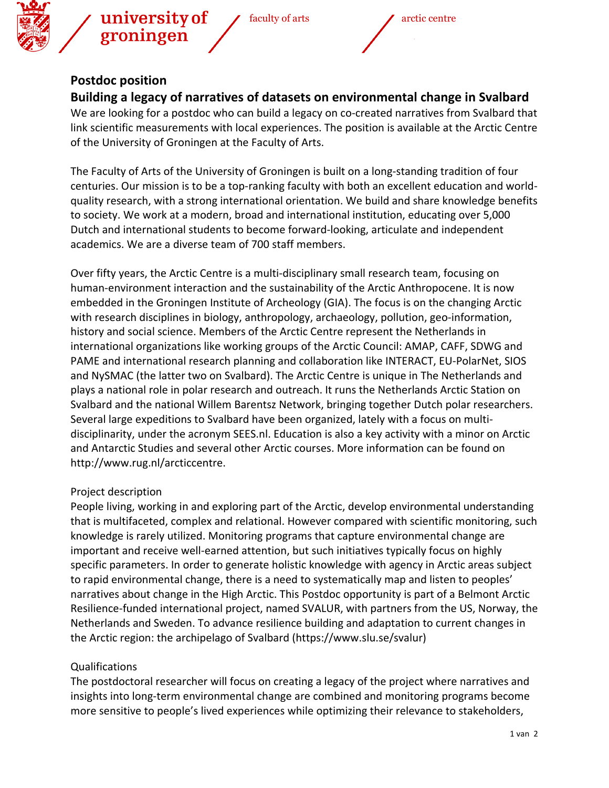

## **Postdoc position**

**Building a legacy of narratives of datasets on environmental change in Svalbard**

We are looking for a postdoc who can build a legacy on co-created narratives from Svalbard that link scientific measurements with local experiences. The position is available at the Arctic Centre of the University of Groningen at the Faculty of Arts.

The Faculty of Arts of the University of Groningen is built on a long-standing tradition of four centuries. Our mission is to be a top-ranking faculty with both an excellent education and worldquality research, with a strong international orientation. We build and share knowledge benefits to society. We work at a modern, broad and international institution, educating over 5,000 Dutch and international students to become forward-looking, articulate and independent academics. We are a diverse team of 700 staff members.

Over fifty years, the Arctic Centre is a multi-disciplinary small research team, focusing on human-environment interaction and the sustainability of the Arctic Anthropocene. It is now embedded in the Groningen Institute of Archeology (GIA). The focus is on the changing Arctic with research disciplines in biology, anthropology, archaeology, pollution, geo-information, history and social science. Members of the Arctic Centre represent the Netherlands in international organizations like working groups of the Arctic Council: AMAP, CAFF, SDWG and PAME and international research planning and collaboration like INTERACT, EU-PolarNet, SIOS and NySMAC (the latter two on Svalbard). The Arctic Centre is unique in The Netherlands and plays a national role in polar research and outreach. It runs the Netherlands Arctic Station on Svalbard and the national Willem Barentsz Network, bringing together Dutch polar researchers. Several large expeditions to Svalbard have been organized, lately with a focus on multidisciplinarity, under the acronym SEES.nl. Education is also a key activity with a minor on Arctic and Antarctic Studies and several other Arctic courses. More information can be found on http://www.rug.nl/arcticcentre.

## Project description

People living, working in and exploring part of the Arctic, develop environmental understanding that is multifaceted, complex and relational. However compared with scientific monitoring, such knowledge is rarely utilized. Monitoring programs that capture environmental change are important and receive well-earned attention, but such initiatives typically focus on highly specific parameters. In order to generate holistic knowledge with agency in Arctic areas subject to rapid environmental change, there is a need to systematically map and listen to peoples' narratives about change in the High Arctic. This Postdoc opportunity is part of a Belmont Arctic Resilience-funded international project, named SVALUR, with partners from the US, Norway, the Netherlands and Sweden. To advance resilience building and adaptation to current changes in the Arctic region: the archipelago of Svalbard (https://www.slu.se/svalur)

## Qualifications

The postdoctoral researcher will focus on creating a legacy of the project where narratives and insights into long-term environmental change are combined and monitoring programs become more sensitive to people's lived experiences while optimizing their relevance to stakeholders,